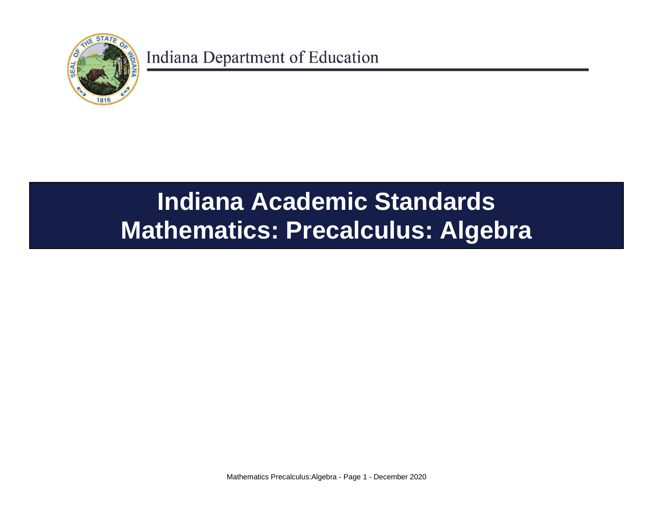

# **Indiana Academic Standards Mathematics: Precalculus: Algebra**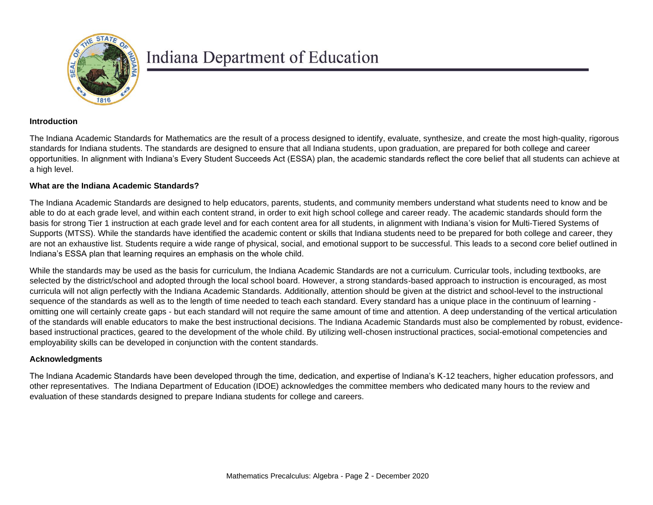

## Indiana Department of Education

#### **Introduction**

The Indiana Academic Standards for Mathematics are the result of a process designed to identify, evaluate, synthesize, and create the most high-quality, rigorous standards for Indiana students. The standards are designed to ensure that all Indiana students, upon graduation, are prepared for both college and career opportunities. In alignment with Indiana's Every Student Succeeds Act (ESSA) plan, the academic standards reflect the core belief that all students can achieve at a high level.

#### **What are the Indiana Academic Standards?**

The Indiana Academic Standards are designed to help educators, parents, students, and community members understand what students need to know and be able to do at each grade level, and within each content strand, in order to exit high school college and career ready. The academic standards should form the basis for strong Tier 1 instruction at each grade level and for each content area for all students, in alignment with Indiana's vision for Multi-Tiered Systems of Supports (MTSS). While the standards have identified the academic content or skills that Indiana students need to be prepared for both college and career, they are not an exhaustive list. Students require a wide range of physical, social, and emotional support to be successful. This leads to a second core belief outlined in Indiana's ESSA plan that learning requires an emphasis on the whole child.

While the standards may be used as the basis for curriculum, the Indiana Academic Standards are not a curriculum. Curricular tools, including textbooks, are selected by the district/school and adopted through the local school board. However, a strong standards-based approach to instruction is encouraged, as most curricula will not align perfectly with the Indiana Academic Standards. Additionally, attention should be given at the district and school-level to the instructional sequence of the standards as well as to the length of time needed to teach each standard. Every standard has a unique place in the continuum of learning omitting one will certainly create gaps - but each standard will not require the same amount of time and attention. A deep understanding of the vertical articulation of the standards will enable educators to make the best instructional decisions. The Indiana Academic Standards must also be complemented by robust, evidencebased instructional practices, geared to the development of the whole child. By utilizing well-chosen instructional practices, social-emotional competencies and employability skills can be developed in conjunction with the content standards.

#### **Acknowledgments**

The Indiana Academic Standards have been developed through the time, dedication, and expertise of Indiana's K-12 teachers, higher education professors, and other representatives. The Indiana Department of Education (IDOE) acknowledges the committee members who dedicated many hours to the review and evaluation of these standards designed to prepare Indiana students for college and careers.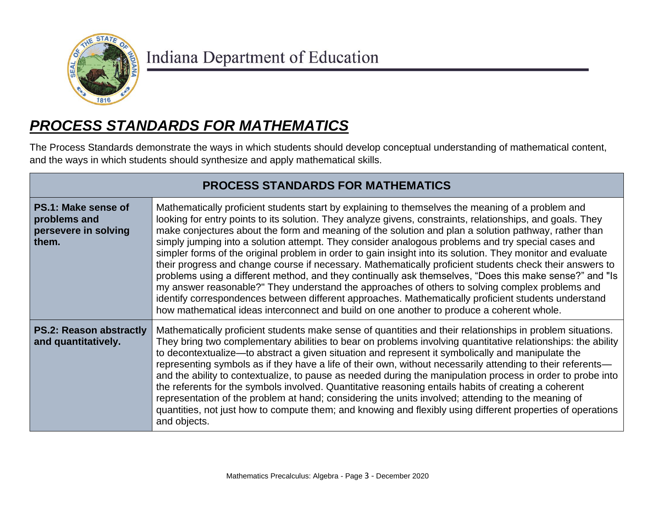

### *PROCESS STANDARDS FOR MATHEMATICS*

The Process Standards demonstrate the ways in which students should develop conceptual understanding of mathematical content, and the ways in which students should synthesize and apply mathematical skills.

| <b>PROCESS STANDARDS FOR MATHEMATICS</b>                             |                                                                                                                                                                                                                                                                                                                                                                                                                                                                                                                                                                                                                                                                                                                                                                                                                                                                                                                                                                                                                                                                             |
|----------------------------------------------------------------------|-----------------------------------------------------------------------------------------------------------------------------------------------------------------------------------------------------------------------------------------------------------------------------------------------------------------------------------------------------------------------------------------------------------------------------------------------------------------------------------------------------------------------------------------------------------------------------------------------------------------------------------------------------------------------------------------------------------------------------------------------------------------------------------------------------------------------------------------------------------------------------------------------------------------------------------------------------------------------------------------------------------------------------------------------------------------------------|
| PS.1: Make sense of<br>problems and<br>persevere in solving<br>them. | Mathematically proficient students start by explaining to themselves the meaning of a problem and<br>looking for entry points to its solution. They analyze givens, constraints, relationships, and goals. They<br>make conjectures about the form and meaning of the solution and plan a solution pathway, rather than<br>simply jumping into a solution attempt. They consider analogous problems and try special cases and<br>simpler forms of the original problem in order to gain insight into its solution. They monitor and evaluate<br>their progress and change course if necessary. Mathematically proficient students check their answers to<br>problems using a different method, and they continually ask themselves, "Does this make sense?" and "Is<br>my answer reasonable?" They understand the approaches of others to solving complex problems and<br>identify correspondences between different approaches. Mathematically proficient students understand<br>how mathematical ideas interconnect and build on one another to produce a coherent whole. |
| <b>PS.2: Reason abstractly</b><br>and quantitatively.                | Mathematically proficient students make sense of quantities and their relationships in problem situations.<br>They bring two complementary abilities to bear on problems involving quantitative relationships: the ability<br>to decontextualize—to abstract a given situation and represent it symbolically and manipulate the<br>representing symbols as if they have a life of their own, without necessarily attending to their referents—<br>and the ability to contextualize, to pause as needed during the manipulation process in order to probe into<br>the referents for the symbols involved. Quantitative reasoning entails habits of creating a coherent<br>representation of the problem at hand; considering the units involved; attending to the meaning of<br>quantities, not just how to compute them; and knowing and flexibly using different properties of operations<br>and objects.                                                                                                                                                                  |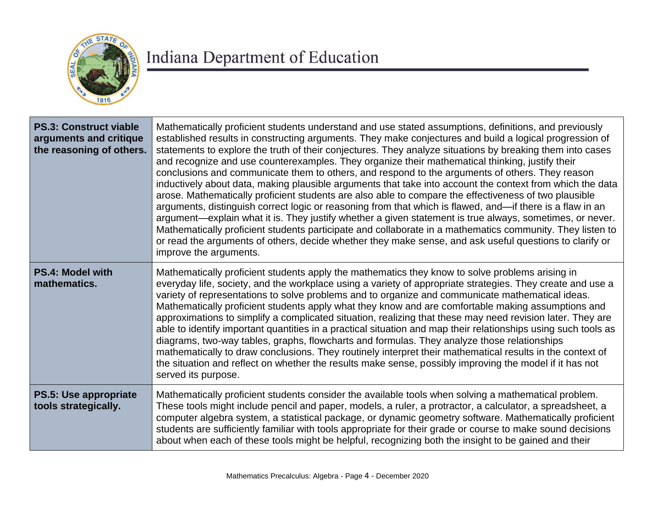

| <b>PS.3: Construct viable</b><br>arguments and critique<br>the reasoning of others. | Mathematically proficient students understand and use stated assumptions, definitions, and previously<br>established results in constructing arguments. They make conjectures and build a logical progression of<br>statements to explore the truth of their conjectures. They analyze situations by breaking them into cases<br>and recognize and use counterexamples. They organize their mathematical thinking, justify their<br>conclusions and communicate them to others, and respond to the arguments of others. They reason<br>inductively about data, making plausible arguments that take into account the context from which the data<br>arose. Mathematically proficient students are also able to compare the effectiveness of two plausible<br>arguments, distinguish correct logic or reasoning from that which is flawed, and—if there is a flaw in an<br>argument—explain what it is. They justify whether a given statement is true always, sometimes, or never.<br>Mathematically proficient students participate and collaborate in a mathematics community. They listen to<br>or read the arguments of others, decide whether they make sense, and ask useful questions to clarify or<br>improve the arguments. |
|-------------------------------------------------------------------------------------|--------------------------------------------------------------------------------------------------------------------------------------------------------------------------------------------------------------------------------------------------------------------------------------------------------------------------------------------------------------------------------------------------------------------------------------------------------------------------------------------------------------------------------------------------------------------------------------------------------------------------------------------------------------------------------------------------------------------------------------------------------------------------------------------------------------------------------------------------------------------------------------------------------------------------------------------------------------------------------------------------------------------------------------------------------------------------------------------------------------------------------------------------------------------------------------------------------------------------------------|
| <b>PS.4: Model with</b><br>mathematics.                                             | Mathematically proficient students apply the mathematics they know to solve problems arising in<br>everyday life, society, and the workplace using a variety of appropriate strategies. They create and use a<br>variety of representations to solve problems and to organize and communicate mathematical ideas.<br>Mathematically proficient students apply what they know and are comfortable making assumptions and<br>approximations to simplify a complicated situation, realizing that these may need revision later. They are<br>able to identify important quantities in a practical situation and map their relationships using such tools as<br>diagrams, two-way tables, graphs, flowcharts and formulas. They analyze those relationships<br>mathematically to draw conclusions. They routinely interpret their mathematical results in the context of<br>the situation and reflect on whether the results make sense, possibly improving the model if it has not<br>served its purpose.                                                                                                                                                                                                                                |
| <b>PS.5: Use appropriate</b><br>tools strategically.                                | Mathematically proficient students consider the available tools when solving a mathematical problem.<br>These tools might include pencil and paper, models, a ruler, a protractor, a calculator, a spreadsheet, a<br>computer algebra system, a statistical package, or dynamic geometry software. Mathematically proficient<br>students are sufficiently familiar with tools appropriate for their grade or course to make sound decisions<br>about when each of these tools might be helpful, recognizing both the insight to be gained and their                                                                                                                                                                                                                                                                                                                                                                                                                                                                                                                                                                                                                                                                                  |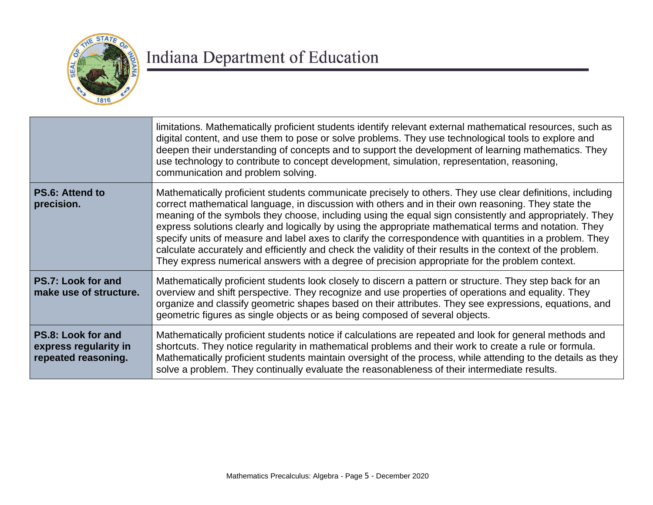

|                                                                    | limitations. Mathematically proficient students identify relevant external mathematical resources, such as<br>digital content, and use them to pose or solve problems. They use technological tools to explore and<br>deepen their understanding of concepts and to support the development of learning mathematics. They<br>use technology to contribute to concept development, simulation, representation, reasoning,<br>communication and problem solving.                                                                                                                                                                                                                                                                                                     |
|--------------------------------------------------------------------|--------------------------------------------------------------------------------------------------------------------------------------------------------------------------------------------------------------------------------------------------------------------------------------------------------------------------------------------------------------------------------------------------------------------------------------------------------------------------------------------------------------------------------------------------------------------------------------------------------------------------------------------------------------------------------------------------------------------------------------------------------------------|
| <b>PS.6: Attend to</b><br>precision.                               | Mathematically proficient students communicate precisely to others. They use clear definitions, including<br>correct mathematical language, in discussion with others and in their own reasoning. They state the<br>meaning of the symbols they choose, including using the equal sign consistently and appropriately. They<br>express solutions clearly and logically by using the appropriate mathematical terms and notation. They<br>specify units of measure and label axes to clarify the correspondence with quantities in a problem. They<br>calculate accurately and efficiently and check the validity of their results in the context of the problem.<br>They express numerical answers with a degree of precision appropriate for the problem context. |
| PS.7: Look for and<br>make use of structure.                       | Mathematically proficient students look closely to discern a pattern or structure. They step back for an<br>overview and shift perspective. They recognize and use properties of operations and equality. They<br>organize and classify geometric shapes based on their attributes. They see expressions, equations, and<br>geometric figures as single objects or as being composed of several objects.                                                                                                                                                                                                                                                                                                                                                           |
| PS.8: Look for and<br>express regularity in<br>repeated reasoning. | Mathematically proficient students notice if calculations are repeated and look for general methods and<br>shortcuts. They notice regularity in mathematical problems and their work to create a rule or formula.<br>Mathematically proficient students maintain oversight of the process, while attending to the details as they<br>solve a problem. They continually evaluate the reasonableness of their intermediate results.                                                                                                                                                                                                                                                                                                                                  |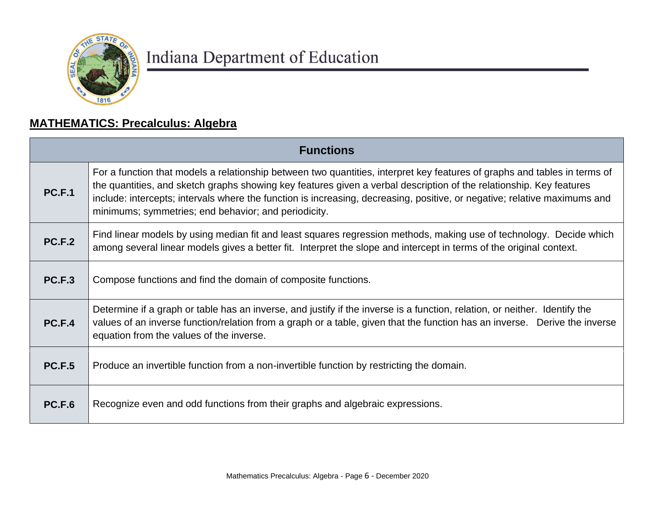

### **MATHEMATICS: Precalculus: Algebra**

| <b>Functions</b> |                                                                                                                                                                                                                                                                                                                                                                                                                                       |
|------------------|---------------------------------------------------------------------------------------------------------------------------------------------------------------------------------------------------------------------------------------------------------------------------------------------------------------------------------------------------------------------------------------------------------------------------------------|
| <b>PC.F.1</b>    | For a function that models a relationship between two quantities, interpret key features of graphs and tables in terms of<br>the quantities, and sketch graphs showing key features given a verbal description of the relationship. Key features<br>include: intercepts; intervals where the function is increasing, decreasing, positive, or negative; relative maximums and<br>minimums; symmetries; end behavior; and periodicity. |
| <b>PC.F.2</b>    | Find linear models by using median fit and least squares regression methods, making use of technology. Decide which<br>among several linear models gives a better fit. Interpret the slope and intercept in terms of the original context.                                                                                                                                                                                            |
| <b>PC.F.3</b>    | Compose functions and find the domain of composite functions.                                                                                                                                                                                                                                                                                                                                                                         |
| <b>PC.F.4</b>    | Determine if a graph or table has an inverse, and justify if the inverse is a function, relation, or neither. Identify the<br>values of an inverse function/relation from a graph or a table, given that the function has an inverse. Derive the inverse<br>equation from the values of the inverse.                                                                                                                                  |
| <b>PC.F.5</b>    | Produce an invertible function from a non-invertible function by restricting the domain.                                                                                                                                                                                                                                                                                                                                              |
| <b>PC.F.6</b>    | Recognize even and odd functions from their graphs and algebraic expressions.                                                                                                                                                                                                                                                                                                                                                         |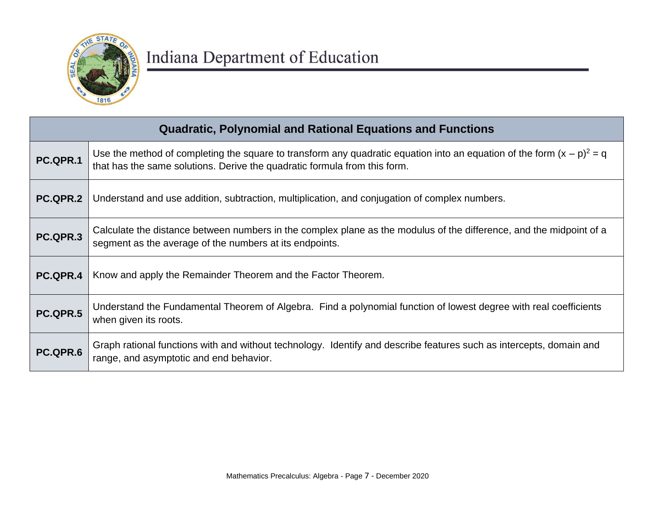

| <b>Quadratic, Polynomial and Rational Equations and Functions</b> |                                                                                                                                                                                                       |
|-------------------------------------------------------------------|-------------------------------------------------------------------------------------------------------------------------------------------------------------------------------------------------------|
| PC.QPR.1                                                          | Use the method of completing the square to transform any quadratic equation into an equation of the form $(x - p)^2 = q$<br>that has the same solutions. Derive the quadratic formula from this form. |
| PC.QPR.2                                                          | Understand and use addition, subtraction, multiplication, and conjugation of complex numbers.                                                                                                         |
| PC.QPR.3                                                          | Calculate the distance between numbers in the complex plane as the modulus of the difference, and the midpoint of a<br>segment as the average of the numbers at its endpoints.                        |
| PC.QPR.4                                                          | Know and apply the Remainder Theorem and the Factor Theorem.                                                                                                                                          |
| PC.QPR.5                                                          | Understand the Fundamental Theorem of Algebra. Find a polynomial function of lowest degree with real coefficients<br>when given its roots.                                                            |
| PC.QPR.6                                                          | Graph rational functions with and without technology. Identify and describe features such as intercepts, domain and<br>range, and asymptotic and end behavior.                                        |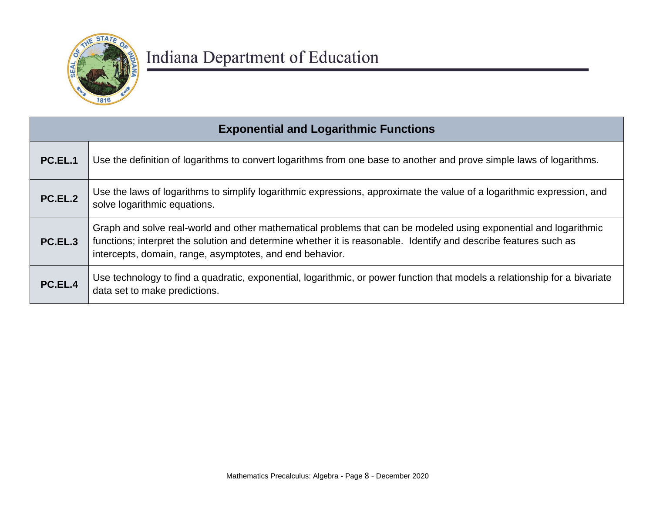

| <b>Exponential and Logarithmic Functions</b> |                                                                                                                                                                                                                                                                                                  |
|----------------------------------------------|--------------------------------------------------------------------------------------------------------------------------------------------------------------------------------------------------------------------------------------------------------------------------------------------------|
| <b>PC.EL.1</b>                               | Use the definition of logarithms to convert logarithms from one base to another and prove simple laws of logarithms.                                                                                                                                                                             |
| <b>PC.EL.2</b>                               | Use the laws of logarithms to simplify logarithmic expressions, approximate the value of a logarithmic expression, and<br>solve logarithmic equations.                                                                                                                                           |
| <b>PC.EL.3</b>                               | Graph and solve real-world and other mathematical problems that can be modeled using exponential and logarithmic<br>functions; interpret the solution and determine whether it is reasonable. Identify and describe features such as<br>intercepts, domain, range, asymptotes, and end behavior. |
| PC.EL.4                                      | Use technology to find a quadratic, exponential, logarithmic, or power function that models a relationship for a bivariate<br>data set to make predictions.                                                                                                                                      |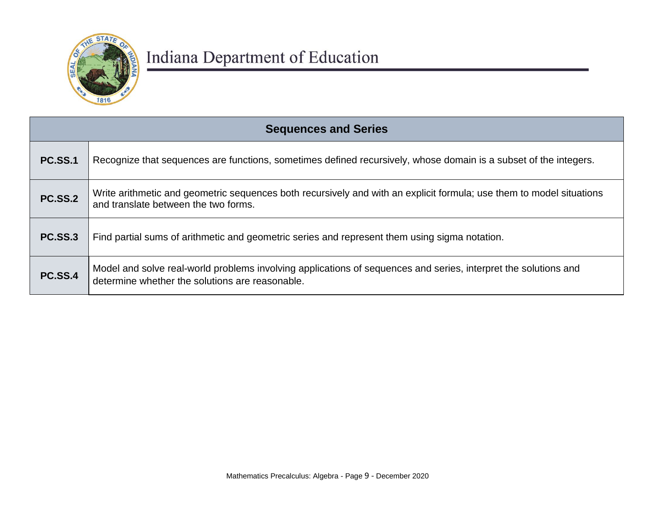

| <b>Sequences and Series</b> |                                                                                                                                                                    |
|-----------------------------|--------------------------------------------------------------------------------------------------------------------------------------------------------------------|
| <b>PC.SS.1</b>              | Recognize that sequences are functions, sometimes defined recursively, whose domain is a subset of the integers.                                                   |
| <b>PC.SS.2</b>              | Write arithmetic and geometric sequences both recursively and with an explicit formula; use them to model situations<br>and translate between the two forms.       |
| <b>PC.SS.3</b>              | Find partial sums of arithmetic and geometric series and represent them using sigma notation.                                                                      |
| <b>PC.SS.4</b>              | Model and solve real-world problems involving applications of sequences and series, interpret the solutions and<br>determine whether the solutions are reasonable. |